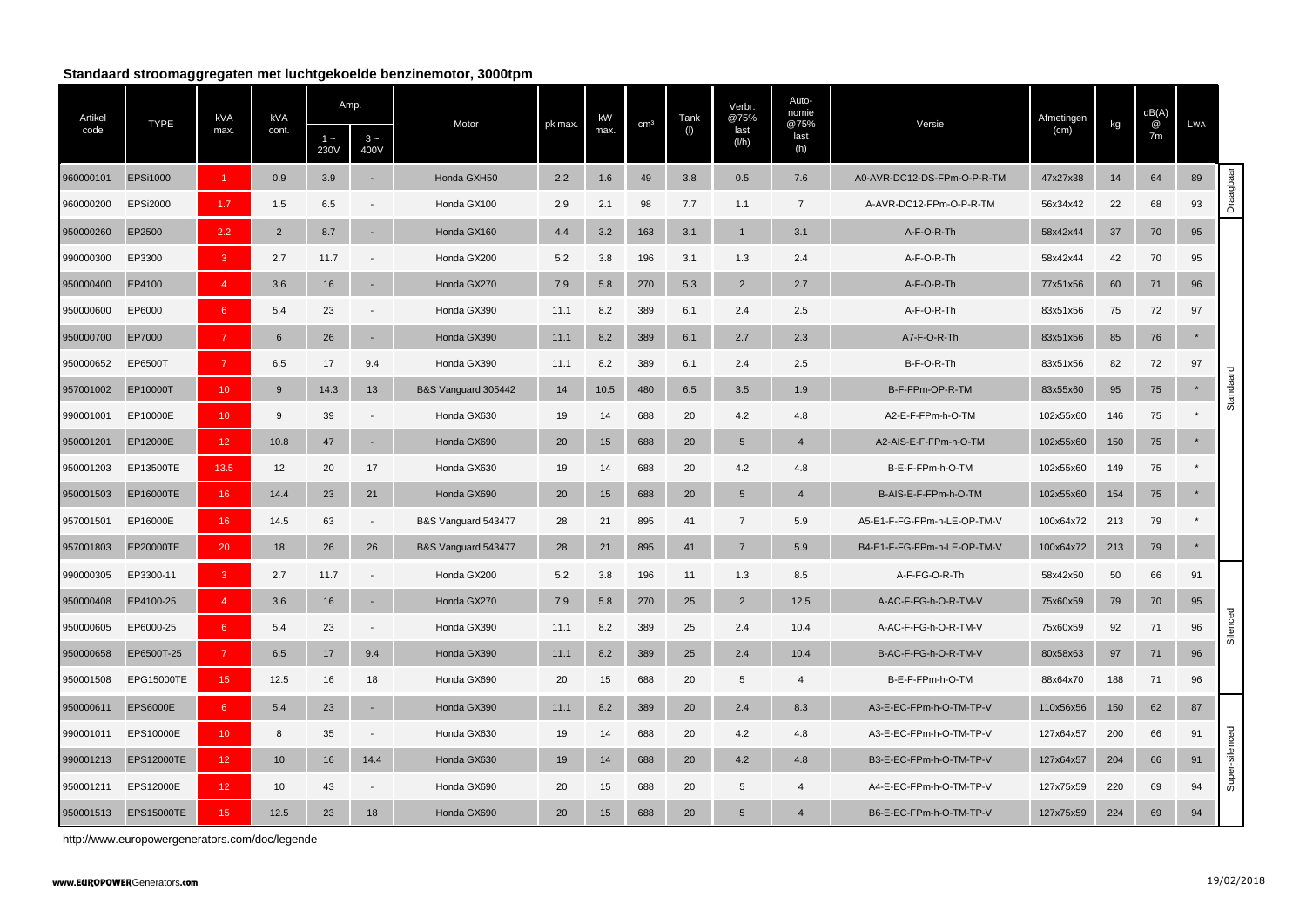## **Standaard stroomaggregaten met luchtgekoelde benzinemotor, 3000tpm**

| Artikel   |                   | <b>kVA</b>             | kVA             |               | Amp.                     |                     |         | kW   |                 | Tank | Verbr.<br>@75%  | Auto-<br>nomie        |                             | Afmetingen |     | dB(A)   |         |                |
|-----------|-------------------|------------------------|-----------------|---------------|--------------------------|---------------------|---------|------|-----------------|------|-----------------|-----------------------|-----------------------------|------------|-----|---------|---------|----------------|
| code      | <b>TYPE</b>       | max.                   | cont.           | $1 -$<br>230V | $3 -$<br>400V            | Motor               | pk max. | max. | cm <sup>3</sup> | (1)  | last<br>(1/h)   | @75%<br>last<br>(h)   | Versie                      | (cm)       | kg  | @<br>7m | LWA     |                |
| 960000101 | <b>EPSi1000</b>   | $\blacktriangleleft$   | 0.9             | 3.9           |                          | Honda GXH50         | 2.2     | 1.6  | 49              | 3.8  | 0.5             | 7.6                   | A0-AVR-DC12-DS-FPm-O-P-R-TM | 47x27x38   | 14  | 64      | 89      |                |
| 960000200 | <b>EPSi2000</b>   | 1.7                    | 1.5             | 6.5           |                          | Honda GX100         | 2.9     | 2.1  | 98              | 7.7  | 1.1             | $\overline{7}$        | A-AVR-DC12-FPm-O-P-R-TM     | 56x34x42   | 22  | 68      | 93      | Draagbaar      |
| 950000260 | EP2500            | 2.2                    | 2               | 8.7           |                          | Honda GX160         | 4.4     | 3.2  | 163             | 3.1  | $\mathbf{1}$    | 3.1                   | A-F-O-R-Th                  | 58x42x44   | 37  | 70      | 95      |                |
| 990000300 | EP3300            | $\overline{3}$         | 2.7             | 11.7          |                          | Honda GX200         | 5.2     | 3.8  | 196             | 3.1  | 1.3             | 2.4                   | A-F-O-R-Th                  | 58x42x44   | 42  | 70      | 95      |                |
| 950000400 | EP4100            | $\boldsymbol{\Lambda}$ | 3.6             | 16            | $\sim$                   | Honda GX270         | 7.9     | 5.8  | 270             | 5.3  | $\overline{2}$  | 2.7                   | A-F-O-R-Th                  | 77x51x56   | 60  | 71      | 96      |                |
| 950000600 | EP6000            | 6                      | 5.4             | 23            |                          | Honda GX390         | 11.1    | 8.2  | 389             | 6.1  | 2.4             | 2.5                   | A-F-O-R-Th                  | 83x51x56   | 75  | 72      | 97      |                |
| 950000700 | EP7000            | $\overline{7}$         | 6               | 26            |                          | Honda GX390         | 11.1    | 8.2  | 389             | 6.1  | 2.7             | 2.3                   | A7-F-O-R-Th                 | 83x51x56   | 85  | 76      | $\star$ |                |
| 950000652 | EP6500T           | $\overline{7}$         | 6.5             | 17            | 9.4                      | Honda GX390         | 11.1    | 8.2  | 389             | 6.1  | 2.4             | 2.5                   | B-F-O-R-Th                  | 83x51x56   | 82  | 72      | 97      |                |
| 957001002 | EP10000T          | 10                     | 9               | 14.3          | 13                       | B&S Vanguard 305442 | 14      | 10.5 | 480             | 6.5  | 3.5             | 1.9                   | B-F-FPm-OP-R-TM             | 83x55x60   | 95  | 75      | $\star$ | Standaard      |
| 990001001 | EP10000E          | 10 <sup>°</sup>        | 9               | 39            |                          | Honda GX630         | 19      | 14   | 688             | 20   | 4.2             | 4.8                   | A2-E-F-FPm-h-O-TM           | 102x55x60  | 146 | 75      |         |                |
| 950001201 | EP12000E          | 12 <sub>2</sub>        | 10.8            | 47            | $\sim$                   | Honda GX690         | 20      | 15   | 688             | 20   | $5\phantom{.0}$ | $\overline{4}$        | A2-AIS-E-F-FPm-h-O-TM       | 102x55x60  | 150 | 75      | $\star$ |                |
| 950001203 | EP13500TE         | 13.5                   | 12              | 20            | 17                       | Honda GX630         | 19      | 14   | 688             | 20   | 4.2             | 4.8                   | B-E-F-FPm-h-O-TM            | 102x55x60  | 149 | 75      |         |                |
| 950001503 | EP16000TE         | 16                     | 14.4            | 23            | 21                       | Honda GX690         | 20      | 15   | 688             | 20   | $5\phantom{.0}$ | $\boldsymbol{\Delta}$ | B-AIS-E-F-FPm-h-O-TM        | 102x55x60  | 154 | 75      | $\star$ |                |
| 957001501 | EP16000E          | 16                     | 14.5            | 63            |                          | B&S Vanguard 543477 | 28      | 21   | 895             | 41   | $\overline{7}$  | 5.9                   | A5-E1-F-FG-FPm-h-LE-OP-TM-V | 100x64x72  | 213 | 79      | $\star$ |                |
| 957001803 | EP20000TE         | 20                     | 18              | 26            | 26                       | B&S Vanguard 543477 | 28      | 21   | 895             | 41   | $\overline{7}$  | 5.9                   | B4-E1-F-FG-FPm-h-LE-OP-TM-V | 100x64x72  | 213 | 79      | $\star$ |                |
| 990000305 | EP3300-11         | $\overline{3}$         | 2.7             | 11.7          |                          | Honda GX200         | 5.2     | 3.8  | 196             | 11   | 1.3             | 8.5                   | A-F-FG-O-R-Th               | 58x42x50   | 50  | 66      | 91      |                |
| 950000408 | EP4100-25         | $\overline{4}$         | 3.6             | 16            |                          | Honda GX270         | 7.9     | 5.8  | 270             | 25   | $\overline{2}$  | 12.5                  | A-AC-F-FG-h-O-R-TM-V        | 75x60x59   | 79  | 70      | 95      |                |
| 950000605 | EP6000-25         | $6\phantom{1}$         | 5.4             | 23            |                          | Honda GX390         | 11.1    | 8.2  | 389             | 25   | 2.4             | 10.4                  | A-AC-F-FG-h-O-R-TM-V        | 75x60x59   | 92  | 71      | 96      | Silenced       |
| 950000658 | EP6500T-25        | $\overline{7}$         | 6.5             | 17            | 9.4                      | Honda GX390         | 11.1    | 8.2  | 389             | 25   | 2.4             | 10.4                  | B-AC-F-FG-h-O-R-TM-V        | 80x58x63   | 97  | 71      | 96      |                |
| 950001508 | EPG15000TE        | 15 <sub>15</sub>       | 12.5            | 16            | 18                       | Honda GX690         | 20      | 15   | 688             | 20   | 5               | $\overline{4}$        | B-E-F-FPm-h-O-TM            | 88x64x70   | 188 | 71      | 96      |                |
| 950000611 | <b>EPS6000E</b>   | $6\phantom{1}$         | 5.4             | 23            | $\sim$                   | Honda GX390         | 11.1    | 8.2  | 389             | 20   | 2.4             | 8.3                   | A3-E-EC-FPm-h-O-TM-TP-V     | 110x56x56  | 150 | 62      | 87      |                |
| 990001011 | EPS10000E         | 10                     | 8               | 35            | $\overline{\phantom{a}}$ | Honda GX630         | 19      | 14   | 688             | 20   | 4.2             | 4.8                   | A3-E-EC-FPm-h-O-TM-TP-V     | 127x64x57  | 200 | 66      | 91      |                |
| 990001213 | <b>EPS12000TE</b> | 12                     | 10 <sup>1</sup> | 16            | 14.4                     | Honda GX630         | 19      | 14   | 688             | 20   | 4.2             | 4.8                   | B3-E-EC-FPm-h-O-TM-TP-V     | 127x64x57  | 204 | 66      | 91      | Super-silenced |
| 950001211 | EPS12000E         | 12 <sub>2</sub>        | 10              | 43            |                          | Honda GX690         | 20      | 15   | 688             | 20   | 5               | $\overline{4}$        | A4-E-EC-FPm-h-O-TM-TP-V     | 127x75x59  | 220 | 69      | 94      |                |
| 950001513 | <b>EPS15000TE</b> | 15                     | 12.5            | 23            | 18                       | Honda GX690         | 20      | 15   | 688             | 20   | 5               |                       | B6-E-EC-FPm-h-O-TM-TP-V     | 127x75x59  | 224 | 69      | 94      |                |

<http://www.europowergenerators.com/doc/legende>